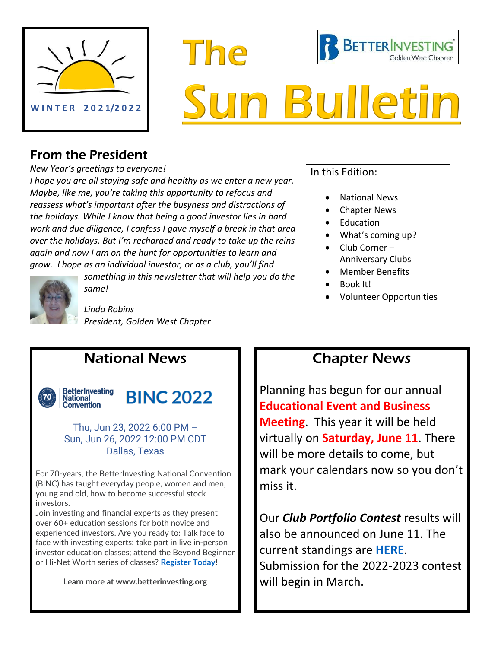

# **BETTER INVESTING The Golden West Chapter Bulleti**

## From the President

*New Year's greetings to everyone!* 

*I hope you are all staying safe and healthy as we enter a new year. Maybe, like me, you're taking this opportunity to refocus and reassess what's important after the busyness and distractions of the holidays. While I know that being a good investor lies in hard work and due diligence, I confess I gave myself a break in that area over the holidays. But I'm recharged and ready to take up the reins again and now I am on the hunt for opportunities to learn and grow. I hope as an individual investor, or as a club, you'll find* 



*something in this newsletter that will help you do the same!*

*Linda Robins President, Golden West Chapter*

### In this Edition:

- National News
- Chapter News
- Education
- What's coming up?
- Club Corner Anniversary Clubs
- Member Benefits
- Book It!
- Volunteer Opportunities

# National News



**National Convention** 

#### **BetterInvesting BINC 2022**

Thu, Jun 23, 2022 6:00 PM – Sun, Jun 26, 2022 12:00 PM CDT Dallas, Texas

For 70-years, the BetterInvesting National Convention (BINC) has taught everyday people, women and men, young and old, how to become successful stock investors.

Join investing and financial experts as they present over 60+ education sessions for both novice and experienced investors. Are you ready to: Talk face to face with investing experts; take part in live in-person investor education classes; attend the Beyond Beginner or Hi-Net Worth series of classes? **[Register Today](https://www.betterinvesting.org/binc-home/register)**!

**Learn more at www.betterinvesting.org**

# Chapter News

Planning has begun for our annual **Educational Event and Business Meeting**. This year it will be held virtually on **Saturday, June 11**. There will be more details to come, but mark your calendars now so you don't miss it.

Our *Club Portfolio Contest* results will also be announced on June 11. The current standings are **[HERE](https://docs.google.com/spreadsheets/d/1oqHHQd1jHFFyMqragXQBEiLLcDVauOUt344eHINwf-c/edit#gid=1150469298)**. Submission for the 2022-2023 contest will begin in March.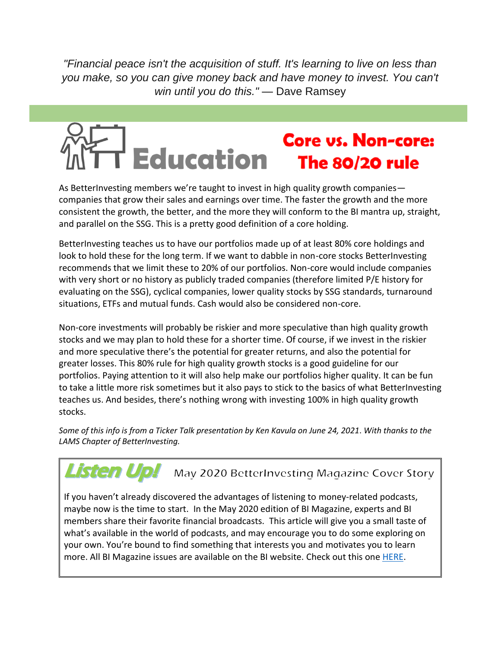*"Financial peace isn't the acquisition of stuff. It's learning to live on less than you make, so you can give money back and have money to invest. You can't win until you do this."* — Dave Ramsey

# **Core vs. Non-core: Education** The 80/20 rule

As BetterInvesting members we're taught to invest in high quality growth companies companies that grow their sales and earnings over time. The faster the growth and the more consistent the growth, the better, and the more they will conform to the BI mantra up, straight, and parallel on the SSG. This is a pretty good definition of a core holding.

BetterInvesting teaches us to have our portfolios made up of at least 80% core holdings and look to hold these for the long term. If we want to dabble in non-core stocks BetterInvesting recommends that we limit these to 20% of our portfolios. Non-core would include companies with very short or no history as publicly traded companies (therefore limited P/E history for evaluating on the SSG), cyclical companies, lower quality stocks by SSG standards, turnaround situations, ETFs and mutual funds. Cash would also be considered non-core.

Non-core investments will probably be riskier and more speculative than high quality growth stocks and we may plan to hold these for a shorter time. Of course, if we invest in the riskier and more speculative there's the potential for greater returns, and also the potential for greater losses. This 80% rule for high quality growth stocks is a good guideline for our portfolios. Paying attention to it will also help make our portfolios higher quality. It can be fun to take a little more risk sometimes but it also pays to stick to the basics of what BetterInvesting teaches us. And besides, there's nothing wrong with investing 100% in high quality growth stocks.

*Some of this info is from a Ticker Talk presentation by Ken Kavula on June 24, 2021*. *With thanks to the LAMS Chapter of BetterInvesting.*

#### Listen Up! May 2020 BetterInvesting Magazine Cover Story

If you haven't already discovered the advantages of listening to money-related podcasts, maybe now is the time to start. In the May 2020 edition of BI Magazine, experts and BI members share their favorite financial broadcasts. This article will give you a small taste of what's available in the world of podcasts, and may encourage you to do some exploring on your own. You're bound to find something that interests you and motivates you to learn more. All BI Magazine issues are available on the BI website. Check out this one **HERE**.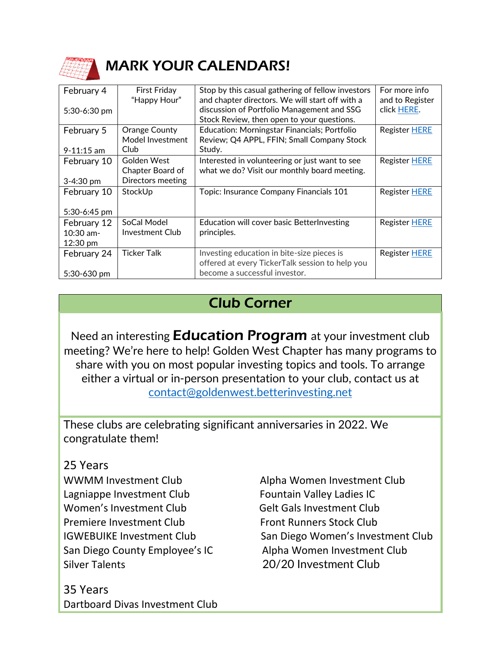

# MARK YOUR CALENDARS!

|                |                     |                                                     | For more info        |
|----------------|---------------------|-----------------------------------------------------|----------------------|
| February 4     | <b>First Friday</b> | Stop by this casual gathering of fellow investors   |                      |
|                | "Happy Hour"        | and chapter directors. We will start off with a     | and to Register      |
| $5:30-6:30$ pm |                     | discussion of Portfolio Management and SSG          | click HERE.          |
|                |                     | Stock Review, then open to your questions.          |                      |
| February 5     | Orange County       | <b>Education: Morningstar Financials; Portfolio</b> | <b>Register HERE</b> |
|                | Model Investment    | Review; Q4 APPL, FFIN; Small Company Stock          |                      |
| $9 - 11:15$ am | Club                | Study.                                              |                      |
| February 10    | Golden West         | Interested in volunteering or just want to see      | Register HERE        |
|                | Chapter Board of    | what we do? Visit our monthly board meeting.        |                      |
| 3-4:30 pm      | Directors meeting   |                                                     |                      |
|                |                     |                                                     |                      |
| February 10    | StockUp             | Topic: Insurance Company Financials 101             | Register HERE        |
|                |                     |                                                     |                      |
| 5:30-6:45 pm   |                     |                                                     |                      |
| February 12    | SoCal Model         | Education will cover basic BetterInvesting          | <b>Register HERE</b> |
| $10:30$ am-    | Investment Club     | principles.                                         |                      |
| 12:30 pm       |                     |                                                     |                      |
|                | <b>Ticker Talk</b>  | Investing education in bite-size pieces is          | Register HERE        |
| February 24    |                     |                                                     |                      |
|                |                     | offered at every TickerTalk session to help you     |                      |
| 5:30-630 pm    |                     | become a successful investor.                       |                      |

# Club Corner

Need an interesting **Education Program** at your investment club meeting? We're here to help! Golden West Chapter has many programs to share with you on most popular investing topics and tools. To arrange either a virtual or in-person presentation to your club, contact us at [contact@goldenwest.betterinvesting.net](mailto:contact@goldenwest.betterinvesting.net)

These clubs are celebrating significant anniversaries in 2022. We congratulate them!

### 25 Years

WWMM Investment Club Alpha Women Investment Club Lagniappe Investment Club Fountain Valley Ladies IC Women's Investment Club Gelt Gals Investment Club Premiere Investment Club Front Runners Stock Club Silver Talents 20/20 Investment Club

35 Years Dartboard Divas Investment Club

IGWEBUIKE Investment Club San Diego Women's Investment Club San Diego County Employee's IC Alpha Women Investment Club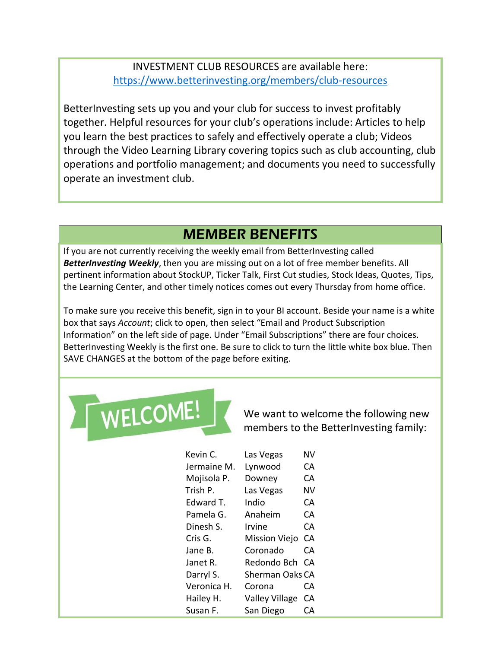INVESTMENT CLUB RESOURCES are available here: <https://www.betterinvesting.org/members/club-resources>

BetterInvesting sets up you and your club for success to invest profitably together. Helpful resources for your club's operations include: Articles to help you learn the best practices to safely and effectively operate a club; Videos through the Video Learning Library covering topics such as club accounting, club operations and portfolio management; and documents you need to successfully operate an investment club.

# MEMBER BENEFITS

If you are not currently receiving the weekly email from BetterInvesting called *BetterInvesting Weekly*, then you are missing out on a lot of free member benefits. All pertinent information about StockUP, Ticker Talk, First Cut studies, Stock Ideas, Quotes, Tips, the Learning Center, and other timely notices comes out every Thursday from home office.

To make sure you receive this benefit, sign in to your BI account. Beside your name is a white box that says *Account*; click to open, then select "Email and Product Subscription Information" on the left side of page. Under "Email Subscriptions" there are four choices. BetterInvesting Weekly is the first one. Be sure to click to turn the little white box blue. Then SAVE CHANGES at the bottom of the page before exiting.



We want to welcome the following new members to the BetterInvesting family:

| Kevin C.    | Las Vegas             | NV |
|-------------|-----------------------|----|
| Jermaine M. | Lynwood               | CА |
| Mojisola P. | Downey                | CА |
| Trish P.    | Las Vegas             | NV |
| Edward T.   | Indio                 | CА |
| Pamela G.   | Anaheim               | CА |
| Dinesh S.   | Irvine                | CА |
| Cris G.     | <b>Mission Viejo</b>  | СA |
| Jane B.     | Coronado              | CА |
| Janet R.    | Redondo Bch           | CА |
| Darryl S.   | Sherman Oaks CA       |    |
| Veronica H. | Corona                | CА |
| Hailey H.   | <b>Valley Village</b> | CА |
| Susan F.    | San Diego             | CА |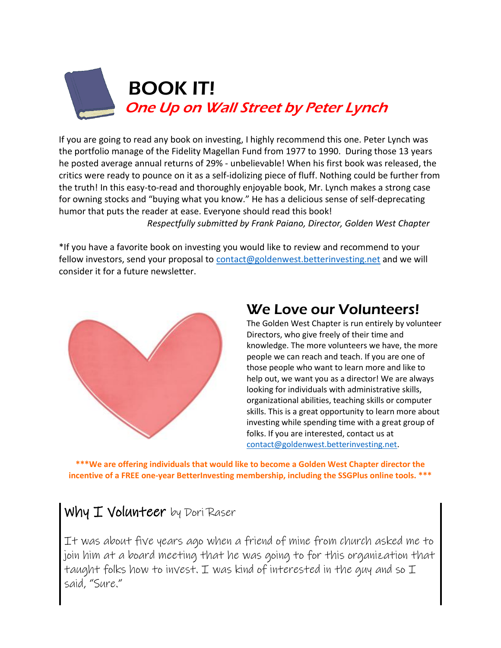

If you are going to read any book on investing, I highly recommend this one. Peter Lynch was the portfolio manage of the Fidelity Magellan Fund from 1977 to 1990. During those 13 years he posted average annual returns of 29% - unbelievable! When his first book was released, the [critics we](https://creativecommons.org/licenses/by-sa/3.0/)re ready to pounce on it as a self-idolizing piece of fluff. Nothing could be further from the truth! In this easy-to-read and thoroughly enjoyable book, Mr. Lynch makes a strong case for owning stocks and "buying what you know." He has a delicious sense of self-deprecating humor that puts the reader at ease. Everyone should read this book! *Respectfully submitted by Frank Paiano, Director, Golden West Chapter*

\*If you have a favorite book on investing you would like to review and recommend to your fellow investors, send your proposal to [contact@goldenwest.betterinvesting.net](mailto:contact@goldenwest.betterinvesting.net) and we will consider it for a future newsletter.



# We Love our Volunteers!

The Golden West Chapter is run entirely by volunteer Directors, who give freely of their time and knowledge. The more volunteers we have, the more people we can reach and teach. If you are one of those people who want to learn more and like to help out, we want you as a director! We are always looking for individuals with administrative skills, organizational abilities, teaching skills or computer skills. This is a great opportunity to learn more about investing while spending time with a great group of folks. If you are interested, contact us at [contact@goldenwest.betterinvesting.net.](mailto:contact@goldenwest.betterinvesting.net)

**\*\*\*We are offering individuals that would like to become a Golden West Chapter director the incentive of a FREE one-year BetterInvesting membership, including the SSGPlus online tools. \*\*\***

# Why I Volunteer by Dori Raser

It was about five years ago when a friend of mine from church asked me to join him at a board meeting that he was going to for this organization that taught folks how to invest. I was kind of interested in the guy and so I said, "Sure."